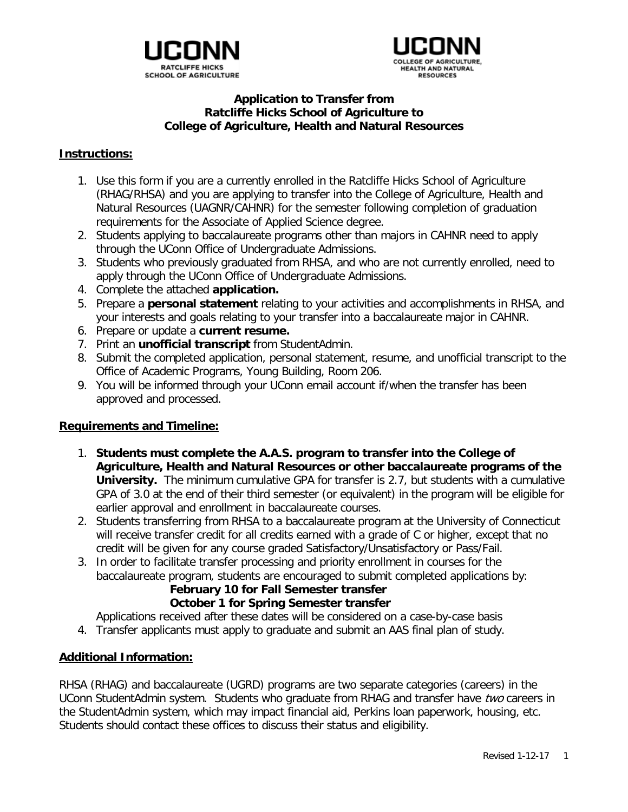



## **Application to Transfer from Ratcliffe Hicks School of Agriculture to College of Agriculture, Health and Natural Resources**

### **Instructions:**

- 1. Use this form if you are a currently enrolled in the Ratcliffe Hicks School of Agriculture (RHAG/RHSA) and you are applying to transfer into the College of Agriculture, Health and Natural Resources (UAGNR/CAHNR) for the semester following completion of graduation requirements for the Associate of Applied Science degree.
- 2. Students applying to baccalaureate programs other than majors in CAHNR need to apply through the UConn Office of Undergraduate Admissions.
- 3. Students who previously graduated from RHSA, and who are not currently enrolled, need to apply through the UConn Office of Undergraduate Admissions.
- 4. Complete the attached **application.**
- 5. Prepare a **personal statement** relating to your activities and accomplishments in RHSA, and your interests and goals relating to your transfer into a baccalaureate major in CAHNR.
- 6. Prepare or update a **current resume.**
- 7. Print an **unofficial transcript** from StudentAdmin.
- 8. Submit the completed application, personal statement, resume, and unofficial transcript to the Office of Academic Programs, Young Building, Room 206.
- 9. You will be informed through your UConn email account if/when the transfer has been approved and processed.

### **Requirements and Timeline:**

- 1. **Students must complete the A.A.S. program to transfer into the College of Agriculture, Health and Natural Resources or other baccalaureate programs of the University.** The minimum cumulative GPA for transfer is 2.7, but students with a cumulative GPA of 3.0 at the end of their third semester (or equivalent) in the program will be eligible for earlier approval and enrollment in baccalaureate courses.
- 2. Students transferring from RHSA to a baccalaureate program at the University of Connecticut will receive transfer credit for all credits earned with a grade of C or higher, except that no credit will be given for any course graded Satisfactory/Unsatisfactory or Pass/Fail.
- 3. In order to facilitate transfer processing and priority enrollment in courses for the baccalaureate program, students are encouraged to submit completed applications by:

#### **February 10 for Fall Semester transfer October 1 for Spring Semester transfer**

Applications received after these dates will be considered on a case-by-case basis

4. Transfer applicants must apply to graduate and submit an AAS final plan of study.

# **Additional Information:**

RHSA (RHAG) and baccalaureate (UGRD) programs are two separate categories (careers) in the UConn StudentAdmin system. Students who graduate from RHAG and transfer have two careers in the StudentAdmin system, which may impact financial aid, Perkins loan paperwork, housing, etc. Students should contact these offices to discuss their status and eligibility.